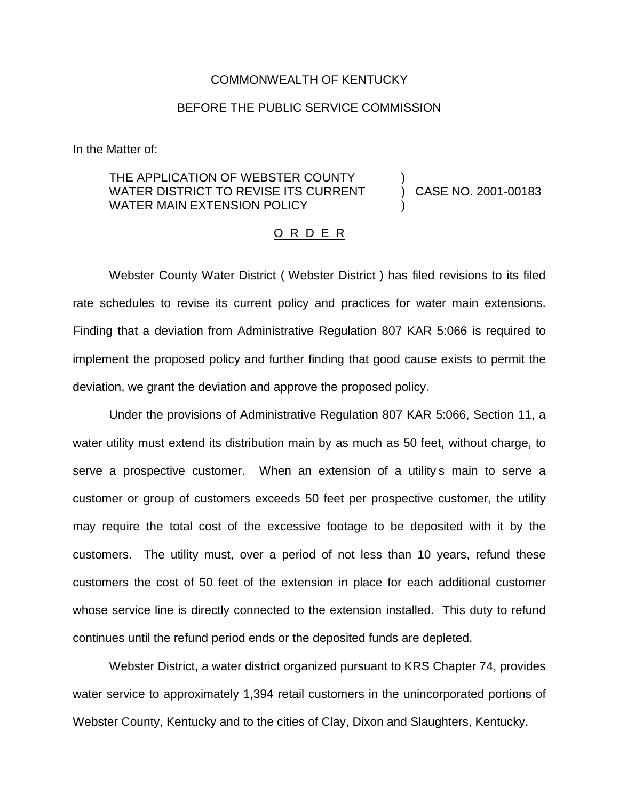## COMMONWEALTH OF KENTUCKY

## BEFORE THE PUBLIC SERVICE COMMISSION

In the Matter of:

## THE APPLICATION OF WEBSTER COUNTY WATER DISTRICT TO REVISE ITS CURRENT WATER MAIN EXTENSION POLICY ) )

) CASE NO. 2001-00183

## O R D E R

Webster County Water District ( Webster District ) has filed revisions to its filed rate schedules to revise its current policy and practices for water main extensions. Finding that a deviation from Administrative Regulation 807 KAR 5:066 is required to implement the proposed policy and further finding that good cause exists to permit the deviation, we grant the deviation and approve the proposed policy.

Under the provisions of Administrative Regulation 807 KAR 5:066, Section 11, a water utility must extend its distribution main by as much as 50 feet, without charge, to serve a prospective customer. When an extension of a utility s main to serve a customer or group of customers exceeds 50 feet per prospective customer, the utility may require the total cost of the excessive footage to be deposited with it by the customers. The utility must, over a period of not less than 10 years, refund these customers the cost of 50 feet of the extension in place for each additional customer whose service line is directly connected to the extension installed. This duty to refund continues until the refund period ends or the deposited funds are depleted.

Webster District, a water district organized pursuant to KRS Chapter 74, provides water service to approximately 1,394 retail customers in the unincorporated portions of Webster County, Kentucky and to the cities of Clay, Dixon and Slaughters, Kentucky.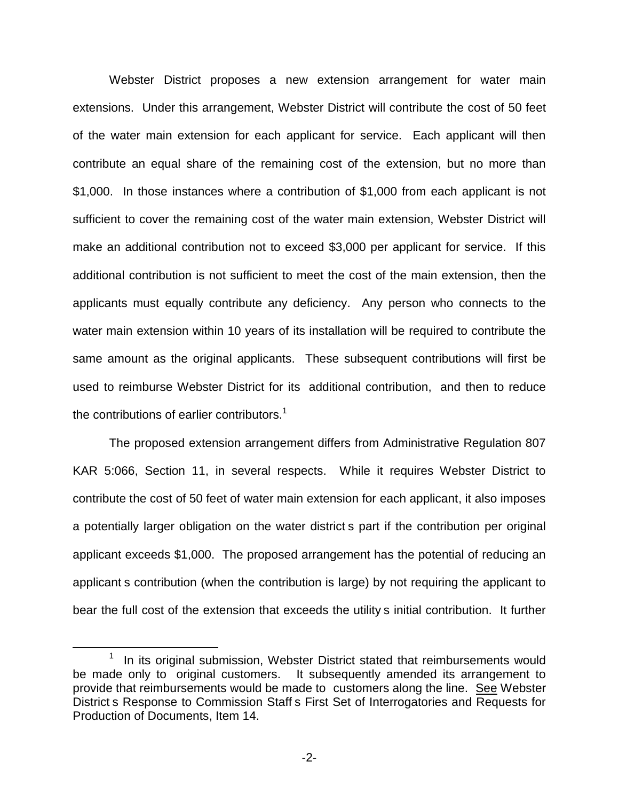Webster District proposes a new extension arrangement for water main extensions. Under this arrangement, Webster District will contribute the cost of 50 feet of the water main extension for each applicant for service. Each applicant will then contribute an equal share of the remaining cost of the extension, but no more than \$1,000. In those instances where a contribution of \$1,000 from each applicant is not sufficient to cover the remaining cost of the water main extension, Webster District will make an additional contribution not to exceed \$3,000 per applicant for service. If this additional contribution is not sufficient to meet the cost of the main extension, then the applicants must equally contribute any deficiency. Any person who connects to the water main extension within 10 years of its installation will be required to contribute the same amount as the original applicants. These subsequent contributions will first be used to reimburse Webster District for its additional contribution, and then to reduce the contributions of earlier contributors.<sup>1</sup>

The proposed extension arrangement differs from Administrative Regulation 807 KAR 5:066, Section 11, in several respects. While it requires Webster District to contribute the cost of 50 feet of water main extension for each applicant, it also imposes a potentially larger obligation on the water district s part if the contribution per original applicant exceeds \$1,000. The proposed arrangement has the potential of reducing an applicant s contribution (when the contribution is large) by not requiring the applicant to bear the full cost of the extension that exceeds the utility s initial contribution. It further

 $1$  In its original submission, Webster District stated that reimbursements would be made only to original customers. It subsequently amended its arrangement to provide that reimbursements would be made to customers along the line. See Webster District s Response to Commission Staff s First Set of Interrogatories and Requests for Production of Documents, Item 14.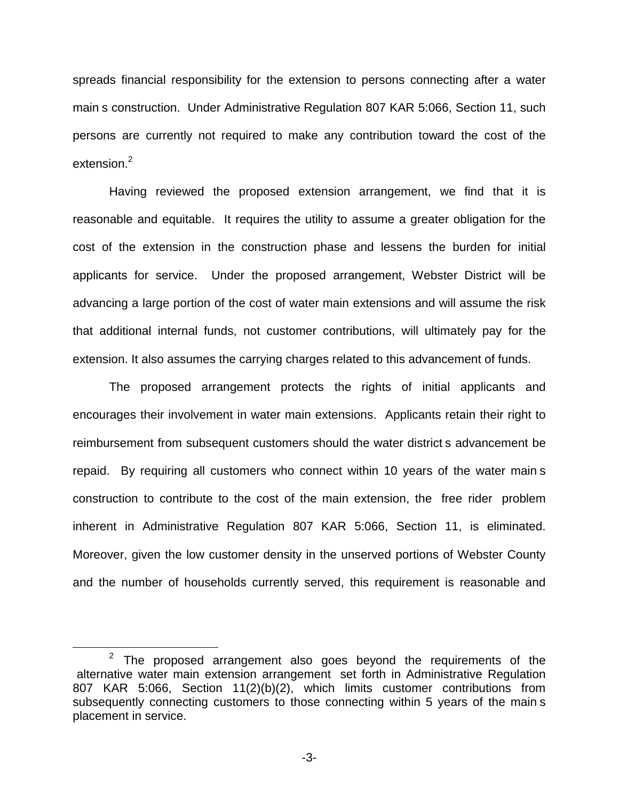spreads financial responsibility for the extension to persons connecting after a water main s construction. Under Administrative Regulation 807 KAR 5:066, Section 11, such persons are currently not required to make any contribution toward the cost of the extension.<sup>2</sup>

Having reviewed the proposed extension arrangement, we find that it is reasonable and equitable. It requires the utility to assume a greater obligation for the cost of the extension in the construction phase and lessens the burden for initial applicants for service. Under the proposed arrangement, Webster District will be advancing a large portion of the cost of water main extensions and will assume the risk that additional internal funds, not customer contributions, will ultimately pay for the extension. It also assumes the carrying charges related to this advancement of funds.

The proposed arrangement protects the rights of initial applicants and encourages their involvement in water main extensions. Applicants retain their right to reimbursement from subsequent customers should the water district s advancement be repaid. By requiring all customers who connect within 10 years of the water main s construction to contribute to the cost of the main extension, the free rider problem inherent in Administrative Regulation 807 KAR 5:066, Section 11, is eliminated. Moreover, given the low customer density in the unserved portions of Webster County and the number of households currently served, this requirement is reasonable and

 $2$  The proposed arrangement also goes beyond the requirements of the alternative water main extension arrangement set forth in Administrative Regulation 807 KAR 5:066, Section 11(2)(b)(2), which limits customer contributions from subsequently connecting customers to those connecting within 5 years of the main s placement in service.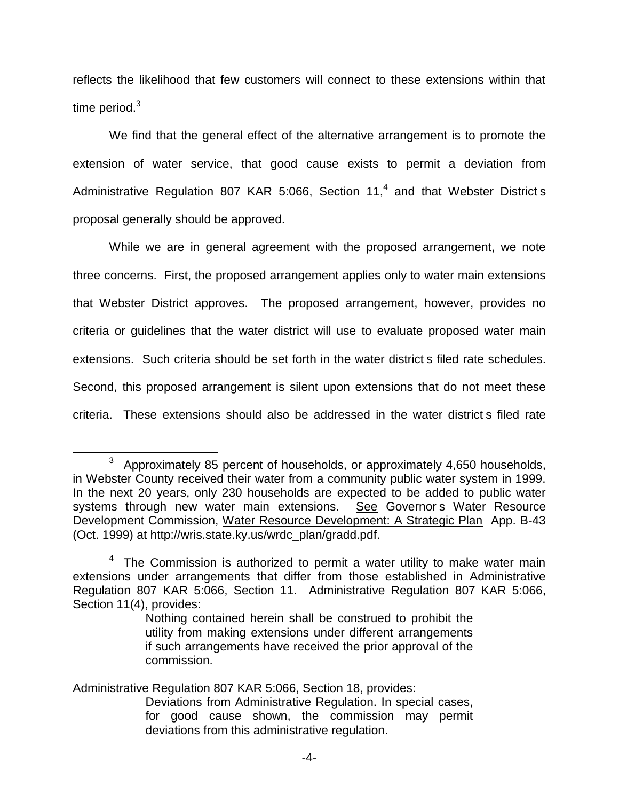reflects the likelihood that few customers will connect to these extensions within that time period. $3$ 

We find that the general effect of the alternative arrangement is to promote the extension of water service, that good cause exists to permit a deviation from Administrative Regulation 807 KAR 5:066, Section 11,<sup>4</sup> and that Webster District s proposal generally should be approved.

While we are in general agreement with the proposed arrangement, we note three concerns. First, the proposed arrangement applies only to water main extensions that Webster District approves. The proposed arrangement, however, provides no criteria or guidelines that the water district will use to evaluate proposed water main extensions. Such criteria should be set forth in the water district s filed rate schedules. Second, this proposed arrangement is silent upon extensions that do not meet these criteria. These extensions should also be addressed in the water district s filed rate

Administrative Regulation 807 KAR 5:066, Section 18, provides:

<sup>3</sup> Approximately 85 percent of households, or approximately 4,650 households, in Webster County received their water from a community public water system in 1999. In the next 20 years, only 230 households are expected to be added to public water systems through new water main extensions. See Governors Water Resource Development Commission, Water Resource Development: A Strategic Plan App. B-43 (Oct. 1999) at http://wris.state.ky.us/wrdc\_plan/gradd.pdf.

 $4$  The Commission is authorized to permit a water utility to make water main extensions under arrangements that differ from those established in Administrative Regulation 807 KAR 5:066, Section 11. Administrative Regulation 807 KAR 5:066, Section 11(4), provides:

Nothing contained herein shall be construed to prohibit the utility from making extensions under different arrangements if such arrangements have received the prior approval of the commission.

Deviations from Administrative Regulation. In special cases, for good cause shown, the commission may permit deviations from this administrative regulation.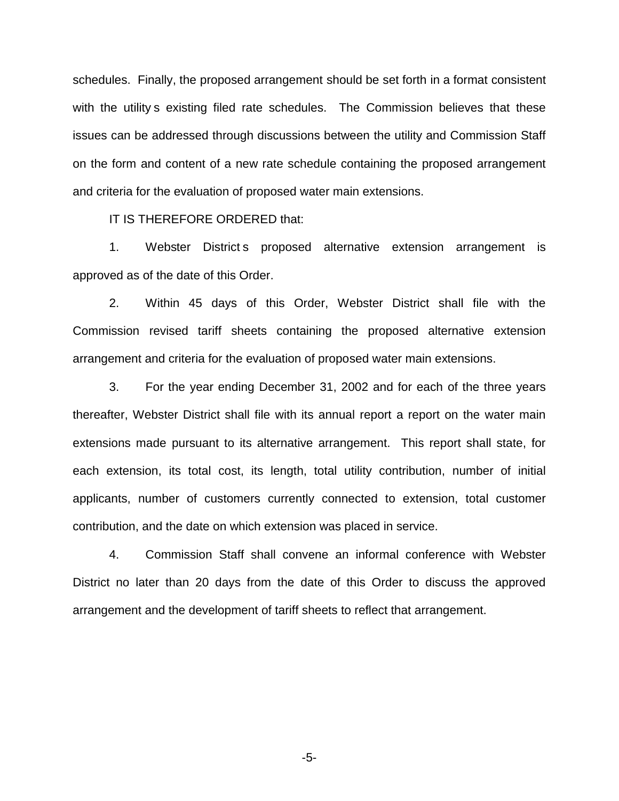schedules. Finally, the proposed arrangement should be set forth in a format consistent with the utility s existing filed rate schedules. The Commission believes that these issues can be addressed through discussions between the utility and Commission Staff on the form and content of a new rate schedule containing the proposed arrangement and criteria for the evaluation of proposed water main extensions.

IT IS THEREFORE ORDERED that:

1. Webster District s proposed alternative extension arrangement is approved as of the date of this Order.

2. Within 45 days of this Order, Webster District shall file with the Commission revised tariff sheets containing the proposed alternative extension arrangement and criteria for the evaluation of proposed water main extensions.

3. For the year ending December 31, 2002 and for each of the three years thereafter, Webster District shall file with its annual report a report on the water main extensions made pursuant to its alternative arrangement. This report shall state, for each extension, its total cost, its length, total utility contribution, number of initial applicants, number of customers currently connected to extension, total customer contribution, and the date on which extension was placed in service.

4. Commission Staff shall convene an informal conference with Webster District no later than 20 days from the date of this Order to discuss the approved arrangement and the development of tariff sheets to reflect that arrangement.

-5-